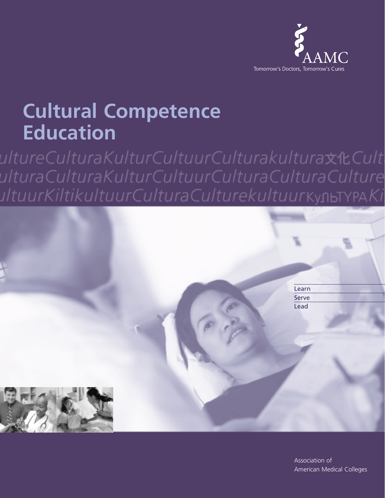

# **Cultural Competence Education**

ultureCulturaKulturCultuurCulturakultura文化Cult ultura Cultura Kultur Cultuur Cultura Cultura Culture JltuurKiltikultuurCulturaCulturekultuurkynьтүрдKi



Association of American Medical Colleges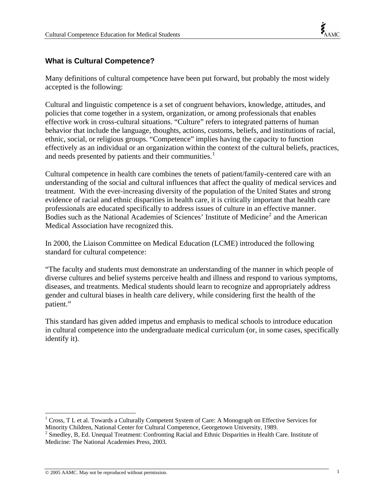# **What is Cultural Competence?**

Many definitions of cultural competence have been put forward, but probably the most widely accepted is the following:

Cultural and linguistic competence is a set of congruent behaviors, knowledge, attitudes, and policies that come together in a system, organization, or among professionals that enables effective work in cross-cultural situations. "Culture" refers to integrated patterns of human behavior that include the language, thoughts, actions, customs, beliefs, and institutions of racial, ethnic, social, or religious groups. "Competence" implies having the capacity to function effectively as an individual or an organization within the context of the cultural beliefs, practices, and needs presented by patients and their communities.<sup>[1](#page-1-0)</sup>

Cultural competence in health care combines the tenets of patient/family-centered care with an understanding of the social and cultural influences that affect the quality of medical services and treatment. With the ever-increasing diversity of the population of the United States and strong evidence of racial and ethnic disparities in health care, it is critically important that health care professionals are educated specifically to address issues of culture in an effective manner. Bodies such as the National Academies of Sciences' Institute of Medicine<sup>[2](#page-1-1)</sup> and the American Medical Association have recognized this.

In 2000, the Liaison Committee on Medical Education (LCME) introduced the following standard for cultural competence:

"The faculty and students must demonstrate an understanding of the manner in which people of diverse cultures and belief systems perceive health and illness and respond to various symptoms, diseases, and treatments. Medical students should learn to recognize and appropriately address gender and cultural biases in health care delivery, while considering first the health of the patient."

This standard has given added impetus and emphasis to medical schools to introduce education in cultural competence into the undergraduate medical curriculum (or, in some cases, specifically identify it).

<span id="page-1-0"></span><sup>&</sup>lt;sup>1</sup> Cross, T L et al. Towards a Culturally Competent System of Care: A Monograph on Effective Services for Minority Children, National Center for Cultural Competence, Georgetown University, 1989.

<span id="page-1-1"></span><sup>&</sup>lt;sup>2</sup> Smedley, B, Ed. Unequal Treatment: Confronting Racial and Ethnic Disparities in Health Care. Institute of Medicine: The National Academies Press, 2003.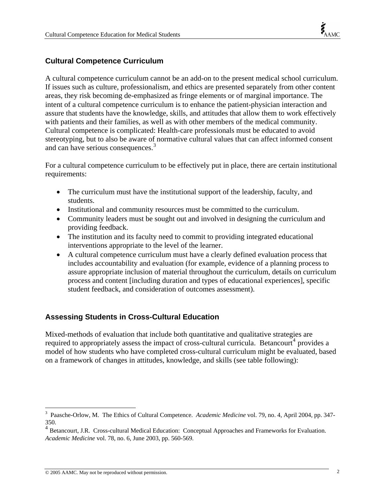# **Cultural Competence Curriculum**

A cultural competence curriculum cannot be an add-on to the present medical school curriculum. If issues such as culture, professionalism, and ethics are presented separately from other content areas, they risk becoming de-emphasized as fringe elements or of marginal importance. The intent of a cultural competence curriculum is to enhance the patient-physician interaction and assure that students have the knowledge, skills, and attitudes that allow them to work effectively with patients and their families, as well as with other members of the medical community. Cultural competence is complicated: Health-care professionals must be educated to avoid stereotyping, but to also be aware of normative cultural values that can affect informed consent and can have serious consequences.<sup>[3](#page-2-0)</sup>

For a cultural competence curriculum to be effectively put in place, there are certain institutional requirements:

- The curriculum must have the institutional support of the leadership, faculty, and students.
- Institutional and community resources must be committed to the curriculum.
- Community leaders must be sought out and involved in designing the curriculum and providing feedback.
- The institution and its faculty need to commit to providing integrated educational interventions appropriate to the level of the learner.
- A cultural competence curriculum must have a clearly defined evaluation process that includes accountability and evaluation (for example, evidence of a planning process to assure appropriate inclusion of material throughout the curriculum, details on curriculum process and content [including duration and types of educational experiences], specific student feedback, and consideration of outcomes assessment).

# **Assessing Students in Cross-Cultural Education**

Mixed-methods of evaluation that include both quantitative and qualitative strategies are required to appropriately assess the impact of cross-cultural curricula. Betancourt<sup>[4](#page-2-1)</sup> provides a model of how students who have completed cross-cultural curriculum might be evaluated, based on a framework of changes in attitudes, knowledge, and skills (see table following):

<span id="page-2-0"></span><sup>&</sup>lt;sup>3</sup> Paasche-Orlow, M. The Ethics of Cultural Competence. *Academic Medicine* vol. 79, no. 4, April 2004, pp. 347-350.

<span id="page-2-1"></span><sup>4</sup> Betancourt, J.R. Cross-cultural Medical Education: Conceptual Approaches and Frameworks for Evaluation. *Academic Medicine* vol. 78, no. 6, June 2003, pp. 560-569.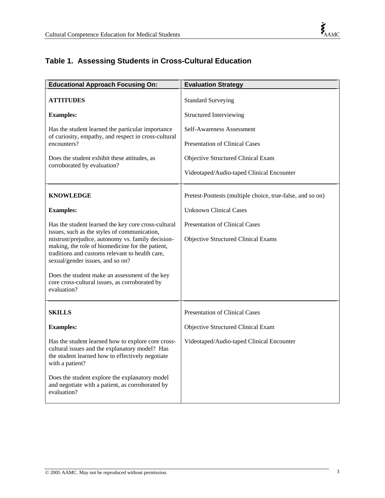# **Table 1. Assessing Students in Cross-Cultural Education**

| <b>Educational Approach Focusing On:</b>                                                                                                                                                     | <b>Evaluation Strategy</b>                                 |
|----------------------------------------------------------------------------------------------------------------------------------------------------------------------------------------------|------------------------------------------------------------|
| <b>ATTITUDES</b>                                                                                                                                                                             | <b>Standard Surveying</b>                                  |
| <b>Examples:</b>                                                                                                                                                                             | <b>Structured Interviewing</b>                             |
| Has the student learned the particular importance<br>of curiosity, empathy, and respect in cross-cultural<br>encounters?                                                                     | Self-Awareness Assessment                                  |
|                                                                                                                                                                                              | <b>Presentation of Clinical Cases</b>                      |
| Does the student exhibit these attitudes, as<br>corroborated by evaluation?                                                                                                                  | Objective Structured Clinical Exam                         |
|                                                                                                                                                                                              | Videotaped/Audio-taped Clinical Encounter                  |
| <b>KNOWLEDGE</b>                                                                                                                                                                             | Pretest-Posttests (multiple choice, true-false, and so on) |
| <b>Examples:</b>                                                                                                                                                                             | <b>Unknown Clinical Cases</b>                              |
| Has the student learned the key core cross-cultural<br>issues, such as the styles of communication,                                                                                          | <b>Presentation of Clinical Cases</b>                      |
| mistrust/prejudice, autonomy vs. family decision-<br>making, the role of biomedicine for the patient,<br>traditions and customs relevant to health care,<br>sexual/gender issues, and so on? | Objective Structured Clinical Exams                        |
| Does the student make an assessment of the key                                                                                                                                               |                                                            |
| core cross-cultural issues, as corroborated by<br>evaluation?                                                                                                                                |                                                            |
|                                                                                                                                                                                              |                                                            |
| <b>SKILLS</b>                                                                                                                                                                                | <b>Presentation of Clinical Cases</b>                      |
| <b>Examples:</b>                                                                                                                                                                             | Objective Structured Clinical Exam                         |
| Has the student learned how to explore core cross-<br>cultural issues and the explanatory model? Has<br>the student learned how to effectively negotiate<br>with a patient?                  | Videotaped/Audio-taped Clinical Encounter                  |
| Does the student explore the explanatory model<br>and negotiate with a patient, as corroborated by<br>evaluation?                                                                            |                                                            |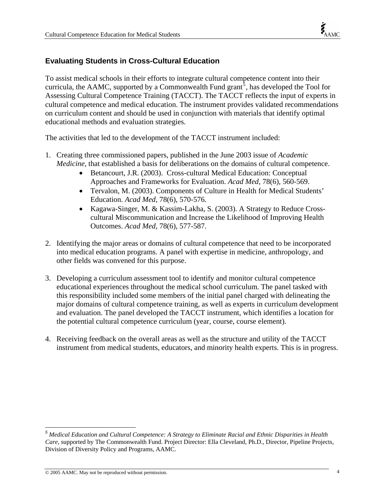# **Evaluating Students in Cross-Cultural Education**

To assist medical schools in their efforts to integrate cultural competence content into their curricula, the AAMC, supported by a Commonwealth Fund grant<sup>[5](#page-4-0)</sup>, has developed the Tool for Assessing Cultural Competence Training (TACCT). The TACCT reflects the input of experts in cultural competence and medical education. The instrument provides validated recommendations on curriculum content and should be used in conjunction with materials that identify optimal educational methods and evaluation strategies.

The activities that led to the development of the TACCT instrument included:

- 1. Creating three commissioned papers, published in the June 2003 issue of *Academic Medicine,* that established a basis for deliberations on the domains of cultural competence.
	- Betancourt, J.R. (2003). Cross-cultural Medical Education: Conceptual Approaches and Frameworks for Evaluation. *Acad Med,* 78(6), 560-569.
	- Tervalon, M. (2003). Components of Culture in Health for Medical Students' Education. *Acad Med,* 78(6), 570-576.
	- Kagawa-Singer, M. & Kassim-Lakha, S. (2003). A Strategy to Reduce Crosscultural Miscommunication and Increase the Likelihood of Improving Health Outcomes. *Acad Med,* 78(6), 577-587.
- 2. Identifying the major areas or domains of cultural competence that need to be incorporated into medical education programs. A panel with expertise in medicine, anthropology, and other fields was convened for this purpose.
- 3. Developing a curriculum assessment tool to identify and monitor cultural competence educational experiences throughout the medical school curriculum. The panel tasked with this responsibility included some members of the initial panel charged with delineating the major domains of cultural competence training, as well as experts in curriculum development and evaluation. The panel developed the TACCT instrument, which identifies a location for the potential cultural competence curriculum (year, course, course element).
- 4. Receiving feedback on the overall areas as well as the structure and utility of the TACCT instrument from medical students, educators, and minority health experts. This is in progress.

<span id="page-4-0"></span><sup>&</sup>lt;sup>5</sup> Medical Education and Cultural Competence: A Strategy to Eliminate Racial and Ethnic Disparities in Health *Care*, supported by The Commonwealth Fund. Project Director: Ella Cleveland, Ph.D., Director, Pipeline Projects, Division of Diversity Policy and Programs, AAMC.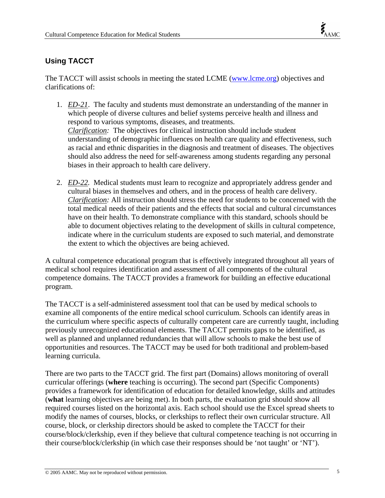# **Using TACCT**

The TACCT will assist schools in meeting the stated LCME ([www.lcme.org\)](http://www.lcme.org/) objectives and clarifications of:

- 1. *ED-21*. The faculty and students must demonstrate an understanding of the manner in which people of diverse cultures and belief systems perceive health and illness and respond to various symptoms, diseases, and treatments. *Clarification:* The objectives for clinical instruction should include student understanding of demographic influences on health care quality and effectiveness, such as racial and ethnic disparities in the diagnosis and treatment of diseases. The objectives should also address the need for self-awareness among students regarding any personal biases in their approach to health care delivery.
- 2. *ED-22.* Medical students must learn to recognize and appropriately address gender and cultural biases in themselves and others, and in the process of health care delivery. *Clarification:* All instruction should stress the need for students to be concerned with the total medical needs of their patients and the effects that social and cultural circumstances have on their health. To demonstrate compliance with this standard, schools should be able to document objectives relating to the development of skills in cultural competence, indicate where in the curriculum students are exposed to such material, and demonstrate the extent to which the objectives are being achieved.

A cultural competence educational program that is effectively integrated throughout all years of medical school requires identification and assessment of all components of the cultural competence domains. The TACCT provides a framework for building an effective educational program.

The TACCT is a self-administered assessment tool that can be used by medical schools to examine all components of the entire medical school curriculum. Schools can identify areas in the curriculum where specific aspects of culturally competent care are currently taught, including previously unrecognized educational elements. The TACCT permits gaps to be identified, as well as planned and unplanned redundancies that will allow schools to make the best use of opportunities and resources. The TACCT may be used for both traditional and problem-based learning curricula.

There are two parts to the TACCT grid. The first part (Domains) allows monitoring of overall curricular offerings (**where** teaching is occurring). The second part (Specific Components) provides a framework for identification of education for detailed knowledge, skills and attitudes (**what** learning objectives are being met). In both parts, the evaluation grid should show all required courses listed on the horizontal axis. Each school should use the Excel spread sheets to modify the names of courses, blocks, or clerkships to reflect their own curricular structure. All course, block, or clerkship directors should be asked to complete the TACCT for their course/block/clerkship, even if they believe that cultural competence teaching is not occurring in their course/block/clerkship (in which case their responses should be 'not taught' or 'NT').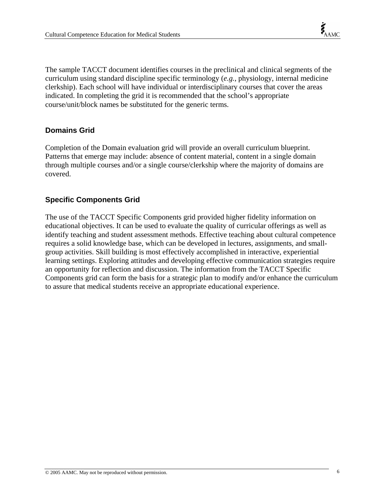The sample TACCT document identifies courses in the preclinical and clinical segments of the curriculum using standard discipline specific terminology (*e.g.*, physiology, internal medicine clerkship). Each school will have individual or interdisciplinary courses that cover the areas indicated. In completing the grid it is recommended that the school's appropriate course/unit/block names be substituted for the generic terms.

# **Domains Grid**

Completion of the Domain evaluation grid will provide an overall curriculum blueprint. Patterns that emerge may include: absence of content material, content in a single domain through multiple courses and/or a single course/clerkship where the majority of domains are covered.

# **Specific Components Grid**

The use of the TACCT Specific Components grid provided higher fidelity information on educational objectives. It can be used to evaluate the quality of curricular offerings as well as identify teaching and student assessment methods. Effective teaching about cultural competence requires a solid knowledge base, which can be developed in lectures, assignments, and smallgroup activities. Skill building is most effectively accomplished in interactive, experiential learning settings. Exploring attitudes and developing effective communication strategies require an opportunity for reflection and discussion. The information from the TACCT Specific Components grid can form the basis for a strategic plan to modify and/or enhance the curriculum to assure that medical students receive an appropriate educational experience.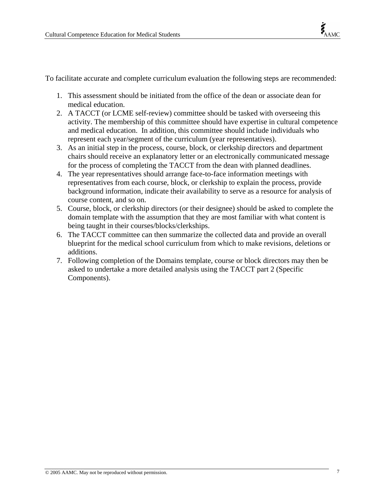

To facilitate accurate and complete curriculum evaluation the following steps are recommended:

- 1. This assessment should be initiated from the office of the dean or associate dean for medical education.
- 2. A TACCT (or LCME self-review) committee should be tasked with overseeing this activity. The membership of this committee should have expertise in cultural competence and medical education. In addition, this committee should include individuals who represent each year/segment of the curriculum (year representatives).
- 3. As an initial step in the process, course, block, or clerkship directors and department chairs should receive an explanatory letter or an electronically communicated message for the process of completing the TACCT from the dean with planned deadlines.
- 4. The year representatives should arrange face-to-face information meetings with representatives from each course, block, or clerkship to explain the process, provide background information, indicate their availability to serve as a resource for analysis of course content, and so on.
- 5. Course, block, or clerkship directors (or their designee) should be asked to complete the domain template with the assumption that they are most familiar with what content is being taught in their courses/blocks/clerkships.
- 6. The TACCT committee can then summarize the collected data and provide an overall blueprint for the medical school curriculum from which to make revisions, deletions or additions.
- 7. Following completion of the Domains template, course or block directors may then be asked to undertake a more detailed analysis using the TACCT part 2 (Specific Components).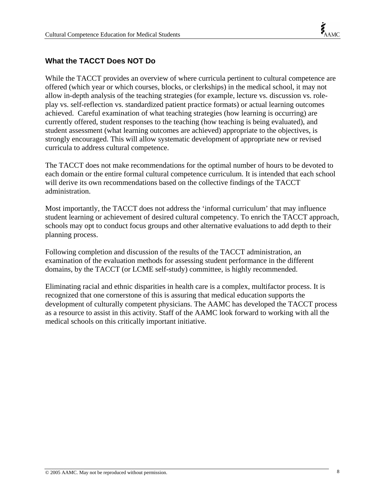# **What the TACCT Does NOT Do**

While the TACCT provides an overview of where curricula pertinent to cultural competence are offered (which year or which courses, blocks, or clerkships) in the medical school, it may not allow in-depth analysis of the teaching strategies (for example, lecture vs. discussion vs. roleplay vs. self-reflection vs. standardized patient practice formats) or actual learning outcomes achieved. Careful examination of what teaching strategies (how learning is occurring) are currently offered, student responses to the teaching (how teaching is being evaluated), and student assessment (what learning outcomes are achieved) appropriate to the objectives, is strongly encouraged. This will allow systematic development of appropriate new or revised curricula to address cultural competence.

The TACCT does not make recommendations for the optimal number of hours to be devoted to each domain or the entire formal cultural competence curriculum. It is intended that each school will derive its own recommendations based on the collective findings of the TACCT administration.

Most importantly, the TACCT does not address the 'informal curriculum' that may influence student learning or achievement of desired cultural competency. To enrich the TACCT approach, schools may opt to conduct focus groups and other alternative evaluations to add depth to their planning process.

Following completion and discussion of the results of the TACCT administration, an examination of the evaluation methods for assessing student performance in the different domains, by the TACCT (or LCME self-study) committee, is highly recommended.

Eliminating racial and ethnic disparities in health care is a complex, multifactor process. It is recognized that one cornerstone of this is assuring that medical education supports the development of culturally competent physicians. The AAMC has developed the TACCT process as a resource to assist in this activity. Staff of the AAMC look forward to working with all the medical schools on this critically important initiative.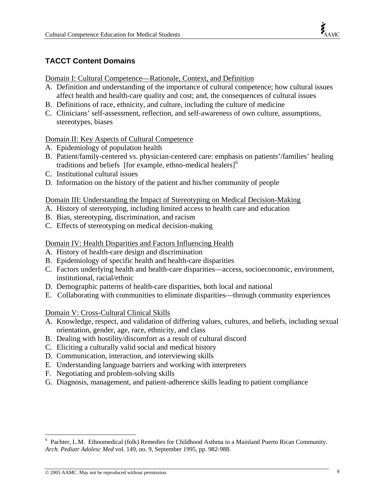

# **TACCT Content Domains**

Domain I: Cultural Competence—Rationale, Context, and Definition

- A. Definition and understanding of the importance of cultural competence; how cultural issues affect health and health-care quality and cost; and, the consequences of cultural issues
- B. Definitions of race, ethnicity, and culture, including the culture of medicine
- C. Clinicians' self-assessment, reflection, and self-awareness of own culture, assumptions, stereotypes, biases

#### Domain II: Key Aspects of Cultural Competence

- A. Epidemiology of population health
- B. Patient/family-centered vs. physician-centered care: emphasis on patients'/families' healing traditions and beliefs [for example, ethno-medical healers] $<sup>6</sup>$  $<sup>6</sup>$  $<sup>6</sup>$ </sup>
- C. Institutional cultural issues
- D. Information on the history of the patient and his/her community of people

#### Domain III: Understanding the Impact of Stereotyping on Medical Decision-Making

- A. History of stereotyping, including limited access to health care and education
- B. Bias, stereotyping, discrimination, and racism
- C. Effects of stereotyping on medical decision-making

#### Domain IV: Health Disparities and Factors Influencing Health

- A. History of health-care design and discrimination
- B. Epidemiology of specific health and health-care disparities
- C. Factors underlying health and health-care disparities—access, socioeconomic, environment, institutional, racial/ethnic
- D. Demographic patterns of health-care disparities, both local and national
- E. Collaborating with communities to eliminate disparities—through community experiences

#### Domain V: Cross-Cultural Clinical Skills

- A. Knowledge, respect, and validation of differing values, cultures, and beliefs, including sexual orientation, gender, age, race, ethnicity, and class
- B. Dealing with hostility/discomfort as a result of cultural discord
- C. Eliciting a culturally valid social and medical history
- D. Communication, interaction, and interviewing skills
- E. Understanding language barriers and working with interpreters
- F. Negotiating and problem-solving skills
- G. Diagnosis, management, and patient-adherence skills leading to patient compliance

<span id="page-9-0"></span> 6 Pachter, L.M. Ethnomedical (folk) Remedies for Childhood Asthma in a Mainland Puerto Rican Community. *Arch. Pediatr Adolesc Med* vol. 149, no. 9, September 1995, pp. 982-988.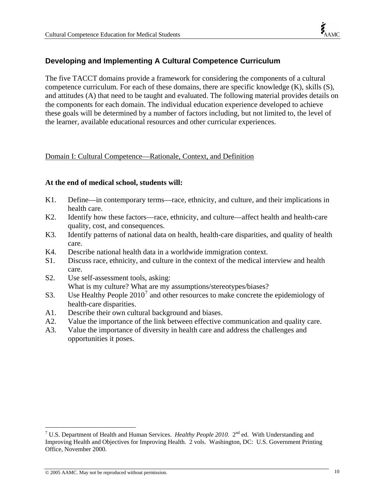# **Developing and Implementing A Cultural Competence Curriculum**

The five TACCT domains provide a framework for considering the components of a cultural competence curriculum. For each of these domains, there are specific knowledge (K), skills (S), and attitudes (A) that need to be taught and evaluated. The following material provides details on the components for each domain. The individual education experience developed to achieve these goals will be determined by a number of factors including, but not limited to, the level of the learner, available educational resources and other curricular experiences.

#### Domain I: Cultural Competence—Rationale, Context, and Definition

#### **At the end of medical school, students will:**

- K1. Define—in contemporary terms—race, ethnicity, and culture, and their implications in health care.
- K2. Identify how these factors—race, ethnicity, and culture—affect health and health-care quality, cost, and consequences.
- K3. Identify patterns of national data on health, health-care disparities, and quality of health care.
- K4. Describe national health data in a worldwide immigration context.
- S1. Discuss race, ethnicity, and culture in the context of the medical interview and health care.
- S2. Use self-assessment tools, asking: What is my culture? What are my assumptions/stereotypes/biases?
- S3. Use Healthy People  $2010<sup>7</sup>$  $2010<sup>7</sup>$  $2010<sup>7</sup>$  and other resources to make concrete the epidemiology of health-care disparities.
- A1. Describe their own cultural background and biases.
- A2. Value the importance of the link between effective communication and quality care.
- A3. Value the importance of diversity in health care and address the challenges and opportunities it poses.

<span id="page-10-0"></span><sup>&</sup>lt;sup>7</sup> U.S. Department of Health and Human Services. *Healthy People 2010*.  $2^{nd}$  ed. With Understanding and Improving Health and Objectives for Improving Health. 2 vols. Washington, DC: U.S. Government Printing Office, November 2000.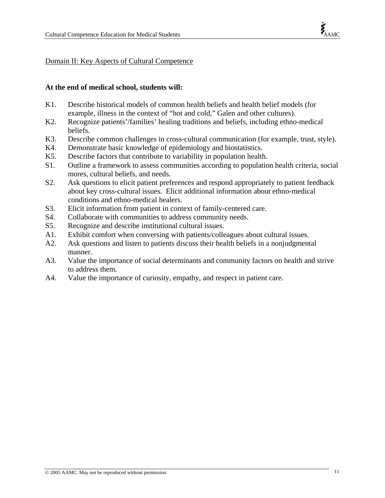

#### Domain II: Key Aspects of Cultural Competence

#### **At the end of medical school, students will:**

- K1. Describe historical models of common health beliefs and health belief models (for example, illness in the context of "hot and cold," Galen and other cultures).
- K2. Recognize patients'/families' healing traditions and beliefs, including ethno-medical beliefs.
- K3. Describe common challenges in cross-cultural communication (for example, trust, style).
- K4. Demonstrate basic knowledge of epidemiology and biostatistics.
- K5. Describe factors that contribute to variability in population health.
- S1. Outline a framework to assess communities according to population health criteria, social mores, cultural beliefs, and needs.
- S2. Ask questions to elicit patient preferences and respond appropriately to patient feedback about key cross-cultural issues. Elicit additional information about ethno-medical conditions and ethno-medical healers.
- S3. Elicit information from patient in context of family-centered care.
- S4. Collaborate with communities to address community needs.
- S5. Recognize and describe institutional cultural issues.
- A1. Exhibit comfort when conversing with patients/colleagues about cultural issues.
- A2. Ask questions and listen to patients discuss their health beliefs in a nonjudgmental manner.
- A3. Value the importance of social determinants and community factors on health and strive to address them.
- A4. Value the importance of curiosity, empathy, and respect in patient care.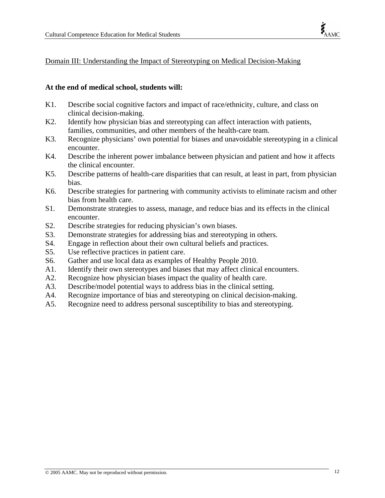

#### Domain III: Understanding the Impact of Stereotyping on Medical Decision-Making

#### **At the end of medical school, students will:**

- K1. Describe social cognitive factors and impact of race/ethnicity, culture, and class on clinical decision-making.
- K2. Identify how physician bias and stereotyping can affect interaction with patients, families, communities, and other members of the health-care team.
- K3. Recognize physicians' own potential for biases and unavoidable stereotyping in a clinical encounter.
- K4. Describe the inherent power imbalance between physician and patient and how it affects the clinical encounter.
- K5. Describe patterns of health-care disparities that can result, at least in part, from physician bias.
- K6. Describe strategies for partnering with community activists to eliminate racism and other bias from health care.
- S1. Demonstrate strategies to assess, manage, and reduce bias and its effects in the clinical encounter.
- S2. Describe strategies for reducing physician's own biases.
- S3. Demonstrate strategies for addressing bias and stereotyping in others.
- S4. Engage in reflection about their own cultural beliefs and practices.
- S5. Use reflective practices in patient care.
- S6. Gather and use local data as examples of Healthy People 2010.
- A1. Identify their own stereotypes and biases that may affect clinical encounters.
- A2. Recognize how physician biases impact the quality of health care.
- A3. Describe/model potential ways to address bias in the clinical setting.
- A4. Recognize importance of bias and stereotyping on clinical decision-making.
- A5. Recognize need to address personal susceptibility to bias and stereotyping.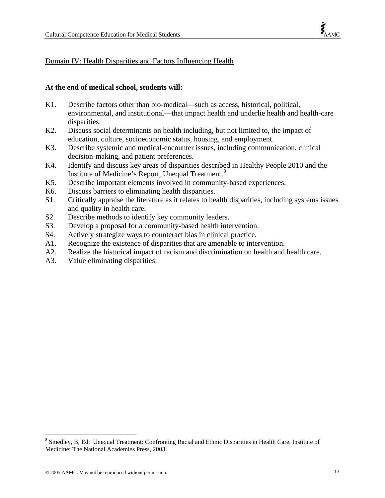#### Domain IV: Health Disparities and Factors Influencing Health

#### **At the end of medical school, students will:**

- K1. Describe factors other than bio-medical—such as access, historical, political, environmental, and institutional—that impact health and underlie health and health-care disparities.
- K2. Discuss social determinants on health including, but not limited to, the impact of education, culture, socioeconomic status, housing, and employment.
- K3. Describe systemic and medical-encounter issues, including communication, clinical decision-making, and patient preferences.
- K4. Identify and discuss key areas of disparities described in Healthy People 2010 and the Institute of Medicine's Report, Unequal Treatment.<sup>[8](#page-13-0)</sup>
- K5. Describe important elements involved in community-based experiences.
- K6. Discuss barriers to eliminating health disparities.
- S1. Critically appraise the literature as it relates to health disparities, including systems issues and quality in health care.
- S2. Describe methods to identify key community leaders.
- S3. Develop a proposal for a community-based health intervention.
- S4. Actively strategize ways to counteract bias in clinical practice.
- A1. Recognize the existence of disparities that are amenable to intervention.
- A2. Realize the historical impact of racism and discrimination on health and health care.
- A3. Value eliminating disparities.

<span id="page-13-0"></span><sup>&</sup>lt;sup>8</sup> Smedley, B, Ed. Unequal Treatment: Confronting Racial and Ethnic Disparities in Health Care. Institute of Medicine: The National Academies Press, 2003.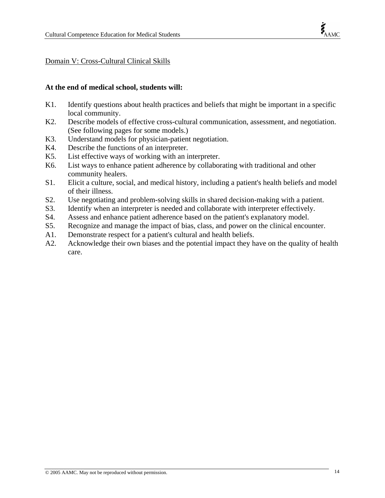

#### Domain V: Cross-Cultural Clinical Skills

#### **At the end of medical school, students will:**

- K1. Identify questions about health practices and beliefs that might be important in a specific local community.
- K2. Describe models of effective cross-cultural communication, assessment, and negotiation. (See following pages for some models.)
- K3. Understand models for physician-patient negotiation.
- K4. Describe the functions of an interpreter.
- K5. List effective ways of working with an interpreter.
- K6. List ways to enhance patient adherence by collaborating with traditional and other community healers.
- S1. Elicit a culture, social, and medical history, including a patient's health beliefs and model of their illness.
- S2. Use negotiating and problem-solving skills in shared decision-making with a patient.
- S3. Identify when an interpreter is needed and collaborate with interpreter effectively.
- S4. Assess and enhance patient adherence based on the patient's explanatory model.
- S5. Recognize and manage the impact of bias, class, and power on the clinical encounter.
- A1. Demonstrate respect for a patient's cultural and health beliefs.
- A2. Acknowledge their own biases and the potential impact they have on the quality of health care.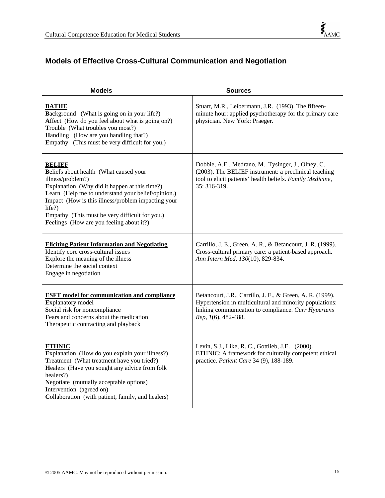# **Models of Effective Cross-Cultural Communication and Negotiation**

| <b>Models</b>                                                                                                                                                                                                                                                                                                                                     | <b>Sources</b>                                                                                                                                                                                     |
|---------------------------------------------------------------------------------------------------------------------------------------------------------------------------------------------------------------------------------------------------------------------------------------------------------------------------------------------------|----------------------------------------------------------------------------------------------------------------------------------------------------------------------------------------------------|
| BATHE<br>Background (What is going on in your life?)<br>Affect (How do you feel about what is going on?)<br>Trouble (What troubles you most?)<br>Handling (How are you handling that?)<br>Empathy (This must be very difficult for you.)                                                                                                          | Stuart, M.R., Leibermann, J.R. (1993). The fifteen-<br>minute hour: applied psychotherapy for the primary care<br>physician. New York: Praeger.                                                    |
| <b>BELIEF</b><br>Beliefs about health (What caused your<br>illness/problem?)<br>Explanation (Why did it happen at this time?)<br>Learn (Help me to understand your belief/opinion.)<br>Impact (How is this illness/problem impacting your<br>life?)<br>Empathy (This must be very difficult for you.)<br>Feelings (How are you feeling about it?) | Dobbie, A.E., Medrano, M., Tysinger, J., Olney, C.<br>(2003). The BELIEF instrument: a preclinical teaching<br>tool to elicit patients' health beliefs. Family Medicine,<br>35: 316-319.           |
| <b>Eliciting Patient Information and Negotiating</b><br>Identify core cross-cultural issues<br>Explore the meaning of the illness<br>Determine the social context<br>Engage in negotiation                                                                                                                                                        | Carrillo, J. E., Green, A. R., & Betancourt, J. R. (1999).<br>Cross-cultural primary care: a patient-based approach.<br>Ann Intern Med, 130(10), 829-834.                                          |
| <b>ESFT</b> model for communication and compliance<br><b>Explanatory</b> model<br>Social risk for noncompliance<br>Fears and concerns about the medication<br>Therapeutic contracting and playback                                                                                                                                                | Betancourt, J.R., Carrillo, J. E., & Green, A. R. (1999).<br>Hypertension in multicultural and minority populations:<br>linking communication to compliance. Curr Hypertens<br>Rep. 1(6), 482-488. |
| <b>ETHNIC</b><br>Explanation (How do you explain your illness?)<br>Treatment (What treatment have you tried?)<br>Healers (Have you sought any advice from folk<br>healers?)<br>Negotiate (mutually acceptable options)<br>Intervention (agreed on)<br>Collaboration (with patient, family, and healers)                                           | Levin, S.J., Like, R. C., Gottlieb, J.E. (2000).<br>ETHNIC: A framework for culturally competent ethical<br>practice. Patient Care 34 (9), 188-189.                                                |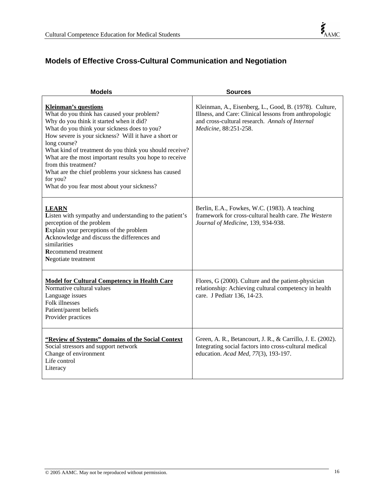# **Models of Effective Cross-Cultural Communication and Negotiation**

| <b>Models</b>                                                                                                                                                                                                                                                                                                                                                                                                                                                                                                 | <b>Sources</b>                                                                                                                                                                               |
|---------------------------------------------------------------------------------------------------------------------------------------------------------------------------------------------------------------------------------------------------------------------------------------------------------------------------------------------------------------------------------------------------------------------------------------------------------------------------------------------------------------|----------------------------------------------------------------------------------------------------------------------------------------------------------------------------------------------|
| <b>Kleinman's questions</b><br>What do you think has caused your problem?<br>Why do you think it started when it did?<br>What do you think your sickness does to you?<br>How severe is your sickness? Will it have a short or<br>long course?<br>What kind of treatment do you think you should receive?<br>What are the most important results you hope to receive<br>from this treatment?<br>What are the chief problems your sickness has caused<br>for you?<br>What do you fear most about your sickness? | Kleinman, A., Eisenberg, L., Good, B. (1978). Culture,<br>Illness, and Care: Clinical lessons from anthropologic<br>and cross-cultural research. Annals of Internal<br>Medicine, 88:251-258. |
| <b>LEARN</b><br>Listen with sympathy and understanding to the patient's<br>perception of the problem<br>Explain your perceptions of the problem<br>Acknowledge and discuss the differences and<br>similarities<br><b>Recommend treatment</b><br>Negotiate treatment                                                                                                                                                                                                                                           | Berlin, E.A., Fowkes, W.C. (1983). A teaching<br>framework for cross-cultural health care. The Western<br>Journal of Medicine, 139, 934-938.                                                 |
| <b>Model for Cultural Competency in Health Care</b><br>Normative cultural values<br>Language issues<br>Folk illnesses<br>Patient/parent beliefs<br>Provider practices                                                                                                                                                                                                                                                                                                                                         | Flores, G (2000). Culture and the patient-physician<br>relationship: Achieving cultural competency in health<br>care. J Pediatr 136, 14-23.                                                  |
| "Review of Systems" domains of the Social Context<br>Social stressors and support network<br>Change of environment<br>Life control<br>Literacy                                                                                                                                                                                                                                                                                                                                                                | Green, A. R., Betancourt, J. R., & Carrillo, J. E. (2002).<br>Integrating social factors into cross-cultural medical<br>education. Acad Med, 77(3), 193-197.                                 |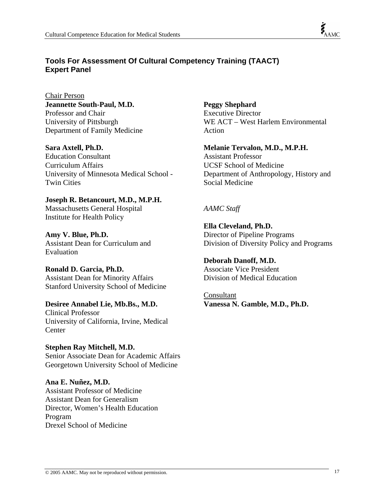

## **Tools For Assessment Of Cultural Competency Training (TAACT) Expert Panel**

Chair Person **Jeannette South-Paul, M.D.**  Professor and Chair University of Pittsburgh Department of Family Medicine

**Sara Axtell, Ph.D.**  Education Consultant Curriculum Affairs University of Minnesota Medical School - Twin Cities

**Joseph R. Betancourt, M.D., M.P.H.**  Massachusetts General Hospital Institute for Health Policy

**Amy V. Blue, Ph.D.**  Assistant Dean for Curriculum and Evaluation

**Ronald D. Garcia, Ph.D.**  Assistant Dean for Minority Affairs Stanford University School of Medicine

**Desiree Annabel Lie, Mb.Bs., M.D.**  Clinical Professor University of California, Irvine, Medical **Center** 

**Stephen Ray Mitchell, M.D.**  Senior Associate Dean for Academic Affairs Georgetown University School of Medicine

**Ana E. Nuñez, M.D.**  Assistant Professor of Medicine Assistant Dean for Generalism Director, Women's Health Education Program Drexel School of Medicine

**Peggy Shephard**  Executive Director WE ACT – West Harlem Environmental Action

**Melanie Tervalon, M.D., M.P.H.**  Assistant Professor UCSF School of Medicine Department of Anthropology, History and Social Medicine

## *AAMC Staff*

**Ella Cleveland, Ph.D.**  Director of Pipeline Programs Division of Diversity Policy and Programs

**Deborah Danoff, M.D.**  Associate Vice President Division of Medical Education

Consultant **Vanessa N. Gamble, M.D., Ph.D.**